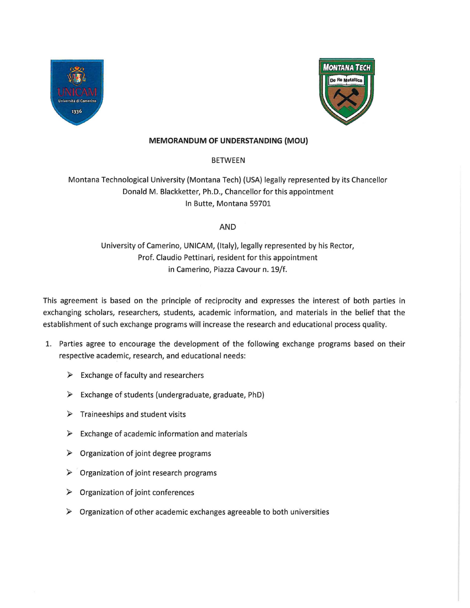



## **MEMORANDUM OF UNDERSTANDING (MOU)**

BETWEEN

Montana Technological University (Montana Tech) (USA) legally represented by its Chancellor Donald M. Blackketter, Ph.D., Chancellor for this appointment In Butte, Montana 59701

## AND

University of Camerino, UNICAM, (Italy), legally represented by his Rector, Prof. Claudio Pettinari, resident for this appointment in Camerino, Piazza Cavour n. 19/f.

This agreement is based on the principle of reciprocity and expresses the interest of both parties in exchanging scholars, researchers, students, academic information, and materials in the belief that the establishment of such exchange programs will increase the research and educational process quality.

- 1. Parties agree to encourage the development of the following exchange programs based on their respective academic, research, and educational needs:
	- $\triangleright$  Exchange of faculty and researchers
	- ► Exchange of students (undergraduate, graduate, PhD)
	- ► Traineeships and student visits
	- $\triangleright$  Exchange of academic information and materials
	- $\triangleright$  Organization of joint degree programs
	- ► Organization of joint research programs
	- ► Organization of joint conferences
	- $\triangleright$  Organization of other academic exchanges agreeable to both universities